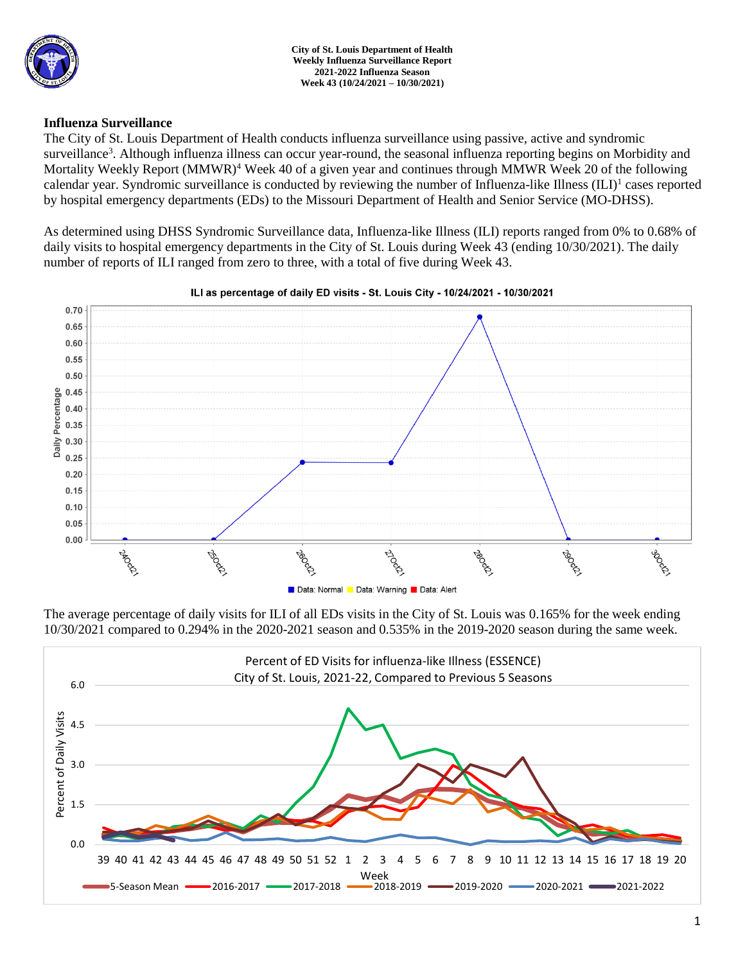

**City of St. Louis Department of Health Weekly Influenza Surveillance Report 2021-2022 Influenza Season Week 43 (10/24/2021 – 10/30/2021)**

## **Influenza Surveillance**

The City of St. Louis Department of Health conducts influenza surveillance using passive, active and syndromic surveillance<sup>3</sup>. Although influenza illness can occur year-round, the seasonal influenza reporting begins on Morbidity and Mortality Weekly Report (MMWR)<sup>4</sup> Week 40 of a given year and continues through MMWR Week 20 of the following calendar year. Syndromic surveillance is conducted by reviewing the number of Influenza-like Illness (ILI)<sup>1</sup> cases reported by hospital emergency departments (EDs) to the Missouri Department of Health and Senior Service (MO-DHSS).

As determined using DHSS Syndromic Surveillance data, Influenza-like Illness (ILI) reports ranged from 0% to 0.68% of daily visits to hospital emergency departments in the City of St. Louis during Week 43 (ending 10/30/2021). The daily number of reports of ILI ranged from zero to three, with a total of five during Week 43.



#### ILI as percentage of daily ED visits - St. Louis City - 10/24/2021 - 10/30/2021

The average percentage of daily visits for ILI of all EDs visits in the City of St. Louis was 0.165% for the week ending 10/30/2021 compared to 0.294% in the 2020-2021 season and 0.535% in the 2019-2020 season during the same week.

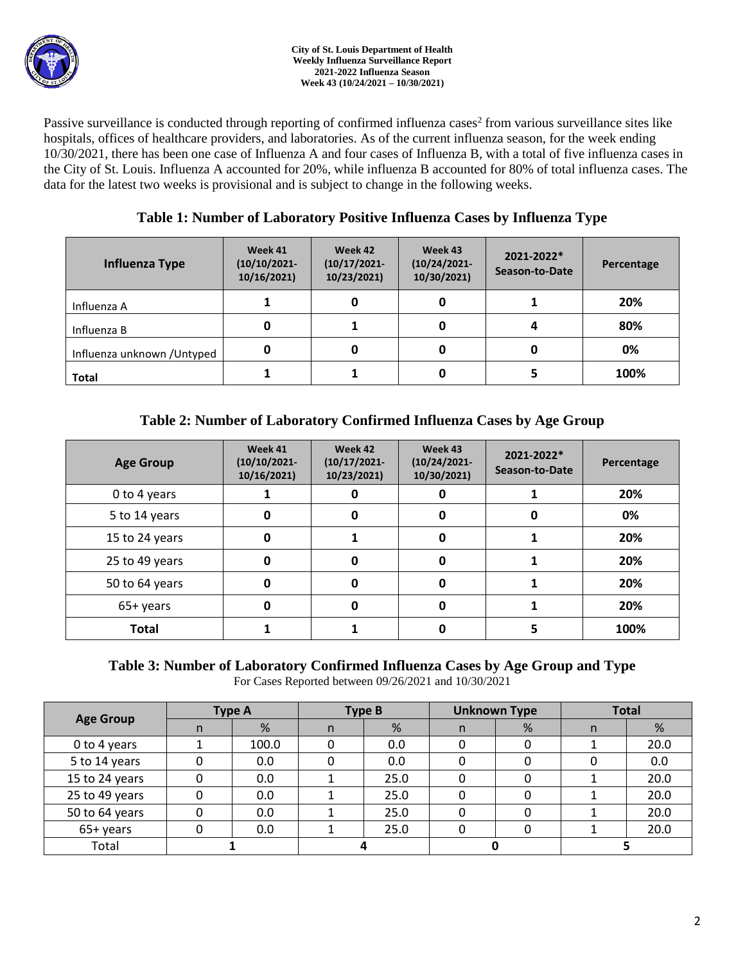

Passive surveillance is conducted through reporting of confirmed influenza cases<sup>2</sup> from various surveillance sites like hospitals, offices of healthcare providers, and laboratories. As of the current influenza season, for the week ending 10/30/2021, there has been one case of Influenza A and four cases of Influenza B, with a total of five influenza cases in the City of St. Louis. Influenza A accounted for 20%, while influenza B accounted for 80% of total influenza cases. The data for the latest two weeks is provisional and is subject to change in the following weeks.

# **Table 1: Number of Laboratory Positive Influenza Cases by Influenza Type**

| Influenza Type              | Week 41<br>$(10/10/2021 -$<br>10/16/2021 | Week 42<br>$(10/17/2021 -$<br>10/23/2021) | Week 43<br>$(10/24/2021 -$<br>10/30/2021) | 2021-2022*<br>Season-to-Date | Percentage |  |
|-----------------------------|------------------------------------------|-------------------------------------------|-------------------------------------------|------------------------------|------------|--|
| Influenza A                 |                                          |                                           | 0                                         |                              | 20%        |  |
| Influenza B                 | 0                                        |                                           |                                           |                              | 80%        |  |
| Influenza unknown / Untyped | 0                                        |                                           | 0                                         | 0                            | 0%         |  |
| <b>Total</b>                |                                          |                                           | 0                                         |                              | 100%       |  |

# **Table 2: Number of Laboratory Confirmed Influenza Cases by Age Group**

| <b>Age Group</b> | Week 41<br>$(10/10/2021 -$<br>10/16/2021) | Week 42<br>$(10/17/2021 -$<br>10/23/2021) | Week 43<br>$(10/24/2021 -$<br>10/30/2021) | 2021-2022*<br>Season-to-Date | Percentage |
|------------------|-------------------------------------------|-------------------------------------------|-------------------------------------------|------------------------------|------------|
| 0 to 4 years     |                                           |                                           |                                           |                              | 20%        |
| 5 to 14 years    | 0                                         | O                                         | 0                                         | 0                            | 0%         |
| 15 to 24 years   | 0                                         |                                           | 0                                         |                              | 20%        |
| 25 to 49 years   | 0                                         | Ω                                         | 0                                         |                              | 20%        |
| 50 to 64 years   | 0                                         | 0                                         | 0                                         |                              | 20%        |
| 65+ years        | 0                                         |                                           | <sup>0</sup>                              |                              | 20%        |
| <b>Total</b>     |                                           |                                           |                                           |                              | 100%       |

### **Table 3: Number of Laboratory Confirmed Influenza Cases by Age Group and Type** For Cases Reported between 09/26/2021 and 10/30/2021

| <b>Age Group</b> | <b>Type A</b> |       | <b>Type B</b> |      | <b>Unknown Type</b> |   | <b>Total</b> |      |
|------------------|---------------|-------|---------------|------|---------------------|---|--------------|------|
|                  | n.            | %     | n             | %    | n                   | % | n            | %    |
| 0 to 4 years     |               | 100.0 |               | 0.0  |                     |   |              | 20.0 |
| 5 to 14 years    |               | 0.0   |               | 0.0  |                     |   |              | 0.0  |
| 15 to 24 years   |               | 0.0   |               | 25.0 |                     |   |              | 20.0 |
| 25 to 49 years   |               | 0.0   |               | 25.0 |                     |   |              | 20.0 |
| 50 to 64 years   |               | 0.0   |               | 25.0 |                     |   |              | 20.0 |
| 65+ years        |               | 0.0   |               | 25.0 |                     |   |              | 20.0 |
| Total            |               |       |               |      |                     |   |              |      |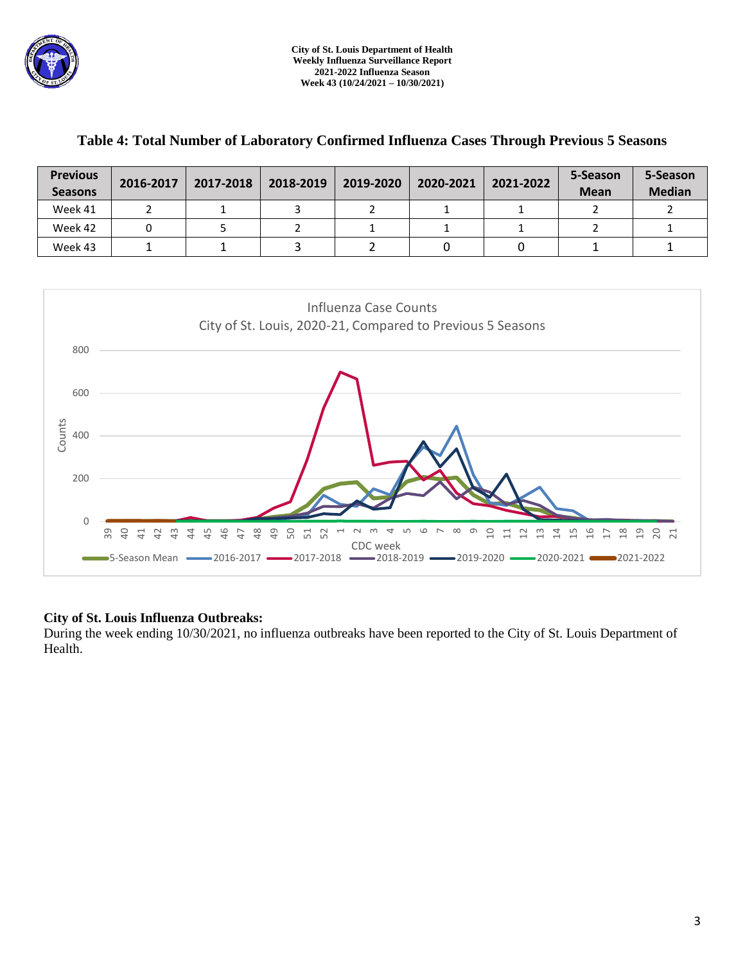

| <b>Previous</b><br><b>Seasons</b> | 2016-2017 | 2017-2018 | 2018-2019 | 2019-2020 | 2020-2021 | 2021-2022 | 5-Season<br><b>Mean</b> | 5-Season<br><b>Median</b> |
|-----------------------------------|-----------|-----------|-----------|-----------|-----------|-----------|-------------------------|---------------------------|
| Week 41                           |           |           |           |           |           |           |                         |                           |
| Week 42                           |           |           |           |           |           |           |                         |                           |
| Week 43                           |           |           |           |           |           |           |                         |                           |

# **Table 4: Total Number of Laboratory Confirmed Influenza Cases Through Previous 5 Seasons**



## **City of St. Louis Influenza Outbreaks:**

During the week ending 10/30/2021, no influenza outbreaks have been reported to the City of St. Louis Department of Health.